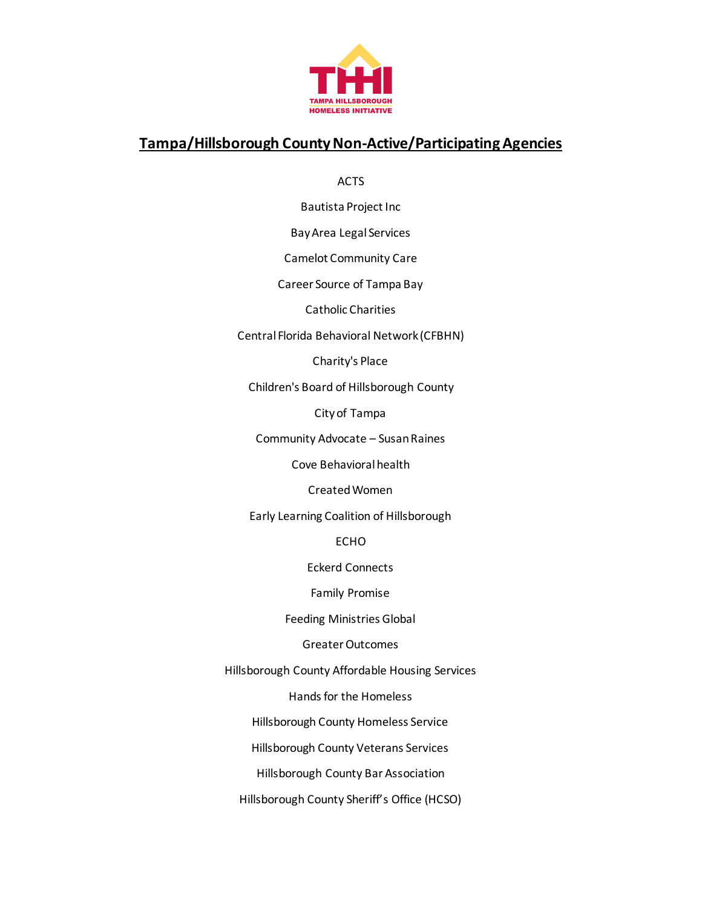

## **Tampa/Hillsborough County Non-Active/Participating Agencies**

ACTS

Bautista Project Inc

Bay Area Legal Services

Camelot Community Care

Career Source of Tampa Bay

Catholic Charities

Central Florida Behavioral Network (CFBHN)

Charity's Place

Children's Board of Hillsborough County

City of Tampa

Community Advocate – Susan Raines

Cove Behavioral health

Created Women

Early Learning Coalition of Hillsborough

ECHO

Eckerd Connects

Family Promise

Feeding Ministries Global

Greater Outcomes

Hillsborough County Affordable Housing Services

Handsfor the Homeless

Hillsborough County Homeless Service

Hillsborough County Veterans Services

Hillsborough County Bar Association

Hillsborough County Sheriff's Office (HCSO)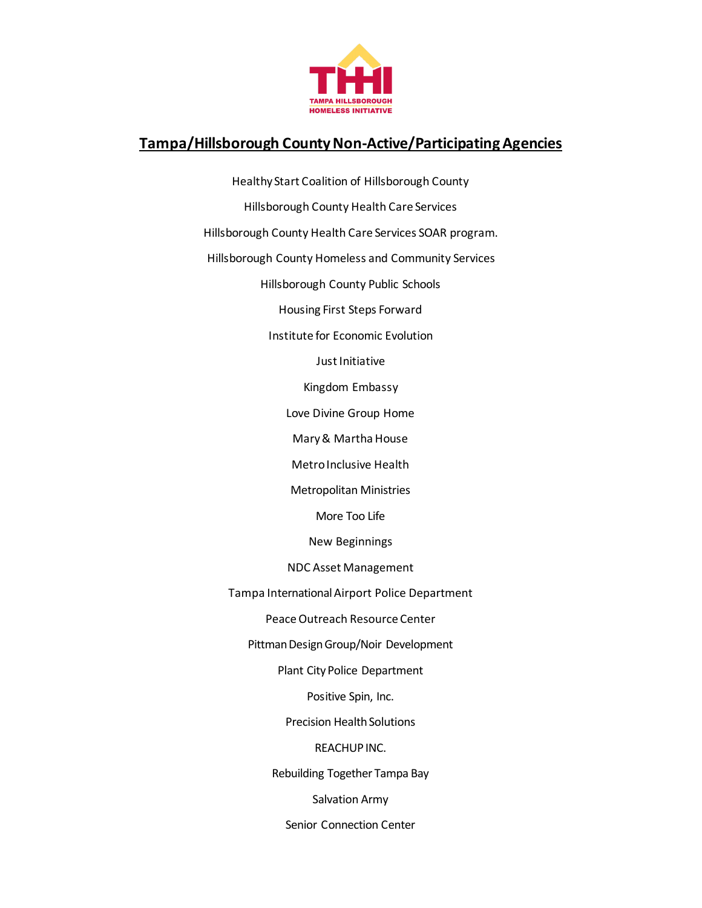

## **Tampa/Hillsborough County Non-Active/Participating Agencies**

Healthy Start Coalition of Hillsborough County Hillsborough County Health Care Services Hillsborough County Health Care Services SOAR program. Hillsborough County Homeless and Community Services Hillsborough County Public Schools Housing First Steps Forward Institute for Economic Evolution Just Initiative Kingdom Embassy Love Divine Group Home Mary & Martha House Metro Inclusive Health Metropolitan Ministries More Too Life New Beginnings NDC Asset Management Tampa InternationalAirport Police Department Peace Outreach Resource Center Pittman Design Group/Noir Development Plant City Police Department Positive Spin, Inc. Precision Health Solutions REACHUP INC. Rebuilding Together Tampa Bay Salvation Army Senior Connection Center